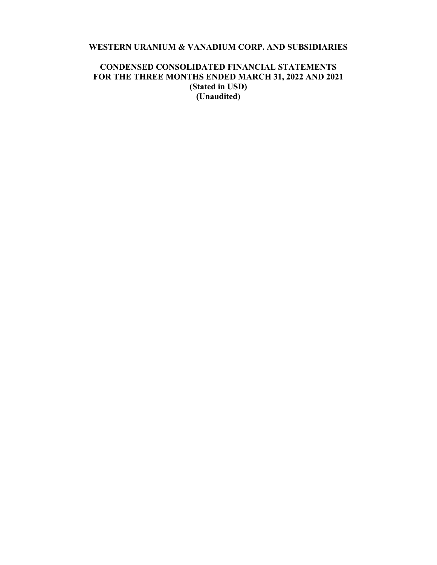# **WESTERN URANIUM & VANADIUM CORP. AND SUBSIDIARIES**

# **CONDENSED CONSOLIDATED FINANCIAL STATEMENTS FOR THE THREE MONTHS ENDED MARCH 31, 2022 AND 2021 (Stated in USD) (Unaudited)**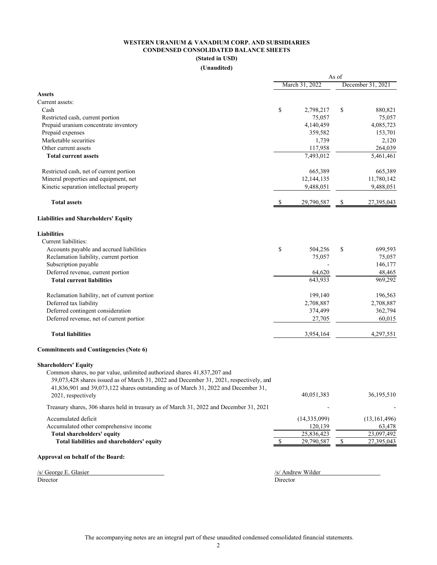# **WESTERN URANIUM & VANADIUM CORP. AND SUBSIDIARIES CONDENSED CONSOLIDATED BALANCE SHEETS (Stated in USD)**

#### **(Unaudited)**

|                                                                                         | As of         |                   |               |                        |  |
|-----------------------------------------------------------------------------------------|---------------|-------------------|---------------|------------------------|--|
|                                                                                         |               | March 31, 2022    |               | December 31, 2021      |  |
| <b>Assets</b>                                                                           |               |                   |               |                        |  |
| Current assets:                                                                         |               |                   |               |                        |  |
| Cash                                                                                    | \$            | 2,798,217         | \$            | 880,821                |  |
| Restricted cash, current portion                                                        |               | 75,057            |               | 75,057                 |  |
| Prepaid uranium concentrate inventory                                                   |               | 4,140,459         |               | 4,085,723              |  |
| Prepaid expenses                                                                        |               | 359,582           |               | 153,701                |  |
| Marketable securities                                                                   |               | 1,739             |               | 2,120                  |  |
| Other current assets                                                                    |               | 117,958           |               | 264,039                |  |
| <b>Total current assets</b>                                                             |               | 7,493,012         |               | $\overline{5,}461,461$ |  |
| Restricted cash, net of current portion                                                 |               | 665,389           |               | 665,389                |  |
| Mineral properties and equipment, net                                                   |               | 12,144,135        |               | 11,780,142             |  |
| Kinetic separation intellectual property                                                |               | 9,488,051         |               | 9,488,051              |  |
| <b>Total assets</b>                                                                     | S             | 29,790,587        | \$            | 27,395,043             |  |
| <b>Liabilities and Shareholders' Equity</b>                                             |               |                   |               |                        |  |
| <b>Liabilities</b>                                                                      |               |                   |               |                        |  |
| Current liabilities:                                                                    |               |                   |               |                        |  |
| Accounts payable and accrued liabilities                                                | \$            | 504,256           | \$            | 699,593                |  |
| Reclamation liability, current portion                                                  |               | 75,057            |               | 75,057                 |  |
| Subscription payable                                                                    |               |                   |               | 146,177                |  |
| Deferred revenue, current portion                                                       |               | 64,620            |               | 48,465                 |  |
| <b>Total current liabilities</b>                                                        |               | 643,933           |               | 969,292                |  |
| Reclamation liability, net of current portion                                           |               | 199,140           |               | 196,563                |  |
| Deferred tax liability                                                                  |               | 2,708,887         |               | 2,708,887              |  |
| Deferred contingent consideration                                                       |               | 374,499           |               | 362,794                |  |
| Deferred revenue, net of current portion                                                |               | 27,705            |               | 60,015                 |  |
| <b>Total liabilities</b>                                                                |               | 3,954,164         |               | 4,297,551              |  |
| <b>Commitments and Contingencies (Note 6)</b>                                           |               |                   |               |                        |  |
| <b>Shareholders' Equity</b>                                                             |               |                   |               |                        |  |
| Common shares, no par value, unlimited authorized shares 41,837,207 and                 |               |                   |               |                        |  |
| 39,073,428 shares issued as of March 31, 2022 and December 31, 2021, respectively, and  |               |                   |               |                        |  |
| 41,836,901 and 39,073,122 shares outstanding as of March 31, 2022 and December 31,      |               |                   |               |                        |  |
| 2021, respectively                                                                      |               | 40,051,383        |               | 36,195,510             |  |
| Treasury shares, 306 shares held in treasury as of March 31, 2022 and December 31, 2021 |               |                   |               |                        |  |
| Accumulated deficit                                                                     |               | (14, 335, 099)    |               | (13, 161, 496)         |  |
| Accumulated other comprehensive income                                                  |               | 120,139           |               | 63,478                 |  |
| Total shareholders' equity                                                              |               | 25,836,423        |               | 23,097,492             |  |
| Total liabilities and shareholders' equity                                              | <sup>\$</sup> | 29,790,587        | $\mathcal{S}$ | 27,395,043             |  |
| Approval on behalf of the Board:                                                        |               |                   |               |                        |  |
| /s/ George E. Glasier                                                                   |               | /s/ Andrew Wilder |               |                        |  |

Director Director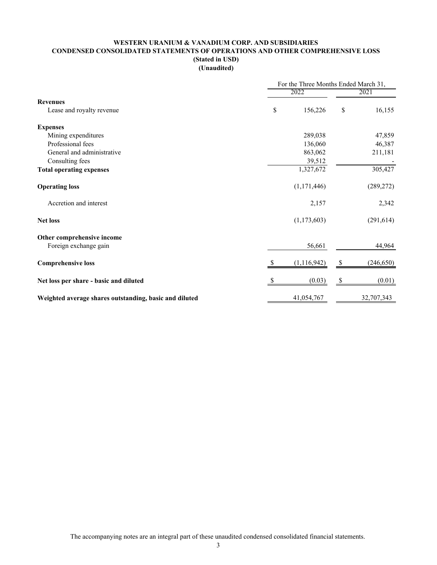# **WESTERN URANIUM & VANADIUM CORP. AND SUBSIDIARIES CONDENSED CONSOLIDATED STATEMENTS OF OPERATIONS AND OTHER COMPREHENSIVE LOSS (Stated in USD) (Unaudited)**

|                                                        | For the Three Months Ended March 31, |               |    |            |  |  |
|--------------------------------------------------------|--------------------------------------|---------------|----|------------|--|--|
|                                                        |                                      | 2022          |    |            |  |  |
| <b>Revenues</b>                                        |                                      |               |    |            |  |  |
| Lease and royalty revenue                              | \$                                   | 156,226       | \$ | 16,155     |  |  |
| <b>Expenses</b>                                        |                                      |               |    |            |  |  |
| Mining expenditures                                    |                                      | 289,038       |    | 47,859     |  |  |
| Professional fees                                      |                                      | 136,060       |    | 46,387     |  |  |
| General and administrative                             |                                      | 863,062       |    | 211,181    |  |  |
| Consulting fees                                        |                                      | 39,512        |    |            |  |  |
| <b>Total operating expenses</b>                        |                                      | 1,327,672     |    | 305,427    |  |  |
| <b>Operating loss</b>                                  |                                      | (1,171,446)   |    | (289, 272) |  |  |
| Accretion and interest                                 |                                      | 2,157         |    | 2,342      |  |  |
| <b>Net loss</b>                                        |                                      | (1,173,603)   |    | (291, 614) |  |  |
| Other comprehensive income                             |                                      |               |    |            |  |  |
| Foreign exchange gain                                  |                                      | 56,661        |    | 44,964     |  |  |
| <b>Comprehensive loss</b>                              |                                      | (1, 116, 942) |    | (246, 650) |  |  |
| Net loss per share - basic and diluted                 |                                      | (0.03)        |    | (0.01)     |  |  |
| Weighted average shares outstanding, basic and diluted |                                      | 41,054,767    |    | 32,707,343 |  |  |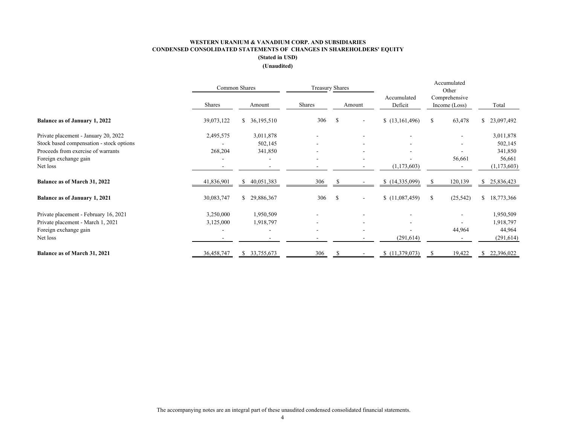#### **WESTERN URANIUM & VANADIUM CORP. AND SUBSIDIARIES CONDENSED CONSOLIDATED STATEMENTS OF CHANGES IN SHAREHOLDERS' EQUITY (Stated in USD) (Unaudited)**

|                                          | Common Shares |                   |               | <b>Treasury Shares</b> |                          |                        | Accumulated<br>Other |                                |                  |
|------------------------------------------|---------------|-------------------|---------------|------------------------|--------------------------|------------------------|----------------------|--------------------------------|------------------|
|                                          | Shares        | Amount            | <b>Shares</b> |                        | Amount                   | Accumulated<br>Deficit |                      | Comprehensive<br>Income (Loss) | Total            |
| <b>Balance as of January 1, 2022</b>     | 39,073,122    | \$36,195,510      | 306           | -S                     | $\overline{\phantom{a}}$ | (13,161,496)           | \$                   | 63,478                         | 23,097,492<br>\$ |
| Private placement - January 20, 2022     | 2,495,575     | 3,011,878         |               |                        |                          |                        |                      |                                | 3,011,878        |
| Stock based compensation - stock options |               | 502,145           |               |                        |                          |                        |                      |                                | 502,145          |
| Proceeds from exercise of warrants       | 268,204       | 341,850           |               |                        |                          |                        |                      |                                | 341,850          |
| Foreign exchange gain                    |               |                   |               |                        |                          |                        |                      | 56,661                         | 56,661           |
| Net loss                                 |               |                   |               |                        |                          | (1,173,603)            |                      |                                | (1,173,603)      |
| Balance as of March 31, 2022             | 41,836,901    | 40,051,383<br>\$. | 306           |                        |                          | \$(14,335,099)         |                      | 120,139                        | 25,836,423<br>\$ |
| <b>Balance as of January 1, 2021</b>     | 30,083,747    | \$29,886,367      | 306           | <sup>\$</sup>          | $\overline{\phantom{a}}$ | (11,087,459)           | S                    | (25, 542)                      | 18,773,366<br>\$ |
| Private placement - February 16, 2021    | 3,250,000     | 1,950,509         |               |                        |                          |                        |                      |                                | 1,950,509        |
| Private placement - March 1, 2021        | 3,125,000     | 1,918,797         |               |                        |                          |                        |                      |                                | 1,918,797        |
| Foreign exchange gain                    |               |                   |               |                        |                          |                        |                      | 44,964                         | 44,964           |
| Net loss                                 |               |                   |               |                        |                          | (291, 614)             |                      |                                | (291, 614)       |
| <b>Balance as of March 31, 2021</b>      | 36,458,747    | 33,755,673<br>S.  | 306           |                        |                          | \$(11,379,073)         |                      | 19,422                         | 22,396,022       |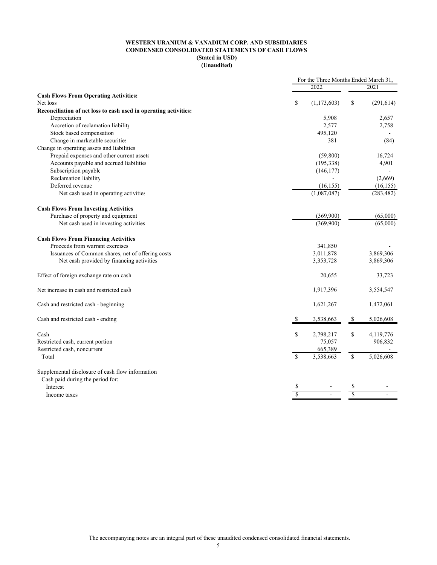#### **WESTERN URANIUM & VANADIUM CORP. AND SUBSIDIARIES CONDENSED CONSOLIDATED STATEMENTS OF CASH FLOWS (Stated in USD) (Unaudited)**

|                                                                  | For the Three Months Ended March 31, |             |              |            |
|------------------------------------------------------------------|--------------------------------------|-------------|--------------|------------|
|                                                                  |                                      | 2022        |              | 2021       |
| <b>Cash Flows From Operating Activities:</b>                     |                                      |             |              |            |
| Net loss                                                         | \$                                   | (1,173,603) | \$           | (291, 614) |
| Reconciliation of net loss to cash used in operating activities: |                                      |             |              |            |
| Depreciation                                                     |                                      | 5,908       |              | 2,657      |
| Accretion of reclamation liability                               |                                      | 2,577       |              | 2,758      |
| Stock based compensation                                         |                                      | 495,120     |              |            |
| Change in marketable securities                                  |                                      | 381         |              | (84)       |
| Change in operating assets and liabilities                       |                                      |             |              |            |
| Prepaid expenses and other current assets                        |                                      | (59,800)    |              | 16,724     |
| Accounts payable and accrued liabilities                         |                                      | (195, 338)  |              | 4,901      |
| Subscription payable                                             |                                      | (146, 177)  |              |            |
| Reclamation liability                                            |                                      |             |              | (2,669)    |
| Deferred revenue                                                 |                                      | (16, 155)   |              | (16, 155)  |
| Net cash used in operating activities                            |                                      | (1,087,087) |              | (283, 482) |
|                                                                  |                                      |             |              |            |
| <b>Cash Flows From Investing Activities</b>                      |                                      |             |              |            |
| Purchase of property and equipment                               |                                      | (369,900)   |              | (65,000)   |
| Net cash used in investing activities                            |                                      | (369,900)   |              | (65,000)   |
|                                                                  |                                      |             |              |            |
| <b>Cash Flows From Financing Activities</b>                      |                                      |             |              |            |
| Proceeds from warrant exercises                                  |                                      | 341,850     |              |            |
| Issuances of Common shares, net of offering costs                |                                      | 3,011,878   |              | 3,869,306  |
| Net cash provided by financing activities                        |                                      | 3,353,728   |              | 3,869,306  |
|                                                                  |                                      |             |              |            |
| Effect of foreign exchange rate on cash                          |                                      | 20,655      |              | 33,723     |
|                                                                  |                                      |             |              |            |
| Net increase in cash and restricted cash                         |                                      | 1,917,396   |              | 3,554,547  |
|                                                                  |                                      |             |              |            |
| Cash and restricted cash - beginning                             |                                      | 1,621,267   |              | 1,472,061  |
|                                                                  |                                      |             |              |            |
| Cash and restricted cash - ending                                |                                      | 3,538,663   | -S           | 5,026,608  |
|                                                                  |                                      |             |              |            |
| Cash                                                             | \$                                   | 2,798,217   | \$           | 4,119,776  |
| Restricted cash, current portion                                 |                                      | 75,057      |              | 906,832    |
| Restricted cash, noncurrent                                      |                                      | 665,389     |              |            |
| Total                                                            | $\mathbb{S}$                         | 3,538,663   | $\mathbb{S}$ | 5,026,608  |
|                                                                  |                                      |             |              |            |
| Supplemental disclosure of cash flow information                 |                                      |             |              |            |
| Cash paid during the period for:                                 |                                      |             |              |            |
| Interest                                                         |                                      |             |              |            |
| Income taxes                                                     |                                      |             |              |            |
|                                                                  |                                      |             |              |            |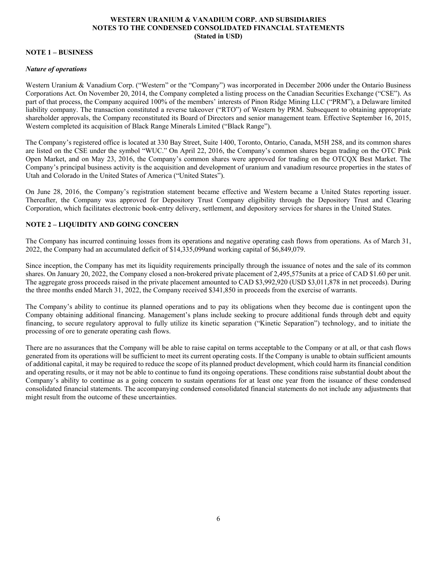# **NOTE 1 – BUSINESS**

#### *Nature of operations*

Western Uranium & Vanadium Corp. ("Western" or the "Company") was incorporated in December 2006 under the Ontario Business Corporations Act. On November 20, 2014, the Company completed a listing process on the Canadian Securities Exchange ("CSE"). As part of that process, the Company acquired 100% of the members' interests of Pinon Ridge Mining LLC ("PRM"), a Delaware limited liability company. The transaction constituted a reverse takeover ("RTO") of Western by PRM. Subsequent to obtaining appropriate shareholder approvals, the Company reconstituted its Board of Directors and senior management team. Effective September 16, 2015, Western completed its acquisition of Black Range Minerals Limited ("Black Range").

The Company's registered office is located at 330 Bay Street, Suite 1400, Toronto, Ontario, Canada, M5H 2S8, and its common shares are listed on the CSE under the symbol "WUC." On April 22, 2016, the Company's common shares began trading on the OTC Pink Open Market, and on May 23, 2016, the Company's common shares were approved for trading on the OTCQX Best Market. The Company's principal business activity is the acquisition and development of uranium and vanadium resource properties in the states of Utah and Colorado in the United States of America ("United States").

On June 28, 2016, the Company's registration statement became effective and Western became a United States reporting issuer. Thereafter, the Company was approved for Depository Trust Company eligibility through the Depository Trust and Clearing Corporation, which facilitates electronic book-entry delivery, settlement, and depository services for shares in the United States.

# **NOTE 2 – LIQUIDITY AND GOING CONCERN**

The Company has incurred continuing losses from its operations and negative operating cash flows from operations. As of March 31, 2022, the Company had an accumulated deficit of \$14,335,099and working capital of \$6,849,079.

Since inception, the Company has met its liquidity requirements principally through the issuance of notes and the sale of its common shares. On January 20, 2022, the Company closed a non-brokered private placement of 2,495,575units at a price of CAD \$1.60 per unit. The aggregate gross proceeds raised in the private placement amounted to CAD \$3,992,920 (USD \$3,011,878 in net proceeds). During the three months ended March 31, 2022, the Company received \$341,850 in proceeds from the exercise of warrants.

The Company's ability to continue its planned operations and to pay its obligations when they become due is contingent upon the Company obtaining additional financing. Management's plans include seeking to procure additional funds through debt and equity financing, to secure regulatory approval to fully utilize its kinetic separation ("Kinetic Separation") technology, and to initiate the processing of ore to generate operating cash flows.

There are no assurances that the Company will be able to raise capital on terms acceptable to the Company or at all, or that cash flows generated from its operations will be sufficient to meet its current operating costs. If the Company is unable to obtain sufficient amounts of additional capital, it may be required to reduce the scope of its planned product development, which could harm its financial condition and operating results, or it may not be able to continue to fund its ongoing operations. These conditions raise substantial doubt about the Company's ability to continue as a going concern to sustain operations for at least one year from the issuance of these condensed consolidated financial statements. The accompanying condensed consolidated financial statements do not include any adjustments that might result from the outcome of these uncertainties.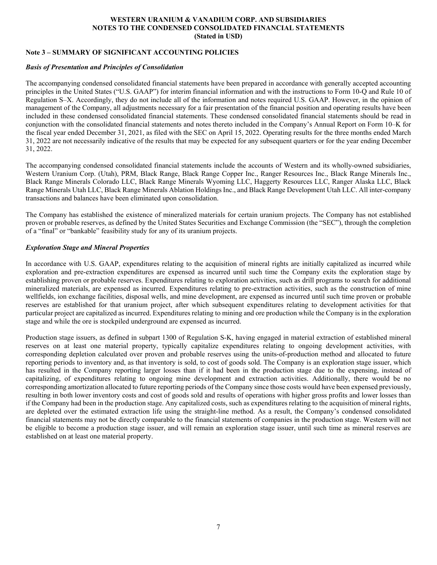# **Note 3 – SUMMARY OF SIGNIFICANT ACCOUNTING POLICIES**

## *Basis of Presentation and Principles of Consolidation*

The accompanying condensed consolidated financial statements have been prepared in accordance with generally accepted accounting principles in the United States ("U.S. GAAP") for interim financial information and with the instructions to Form 10-Q and Rule 10 of Regulation S–X. Accordingly, they do not include all of the information and notes required U.S. GAAP. However, in the opinion of management of the Company, all adjustments necessary for a fair presentation of the financial position and operating results have been included in these condensed consolidated financial statements. These condensed consolidated financial statements should be read in conjunction with the consolidated financial statements and notes thereto included in the Company's Annual Report on Form 10–K for the fiscal year ended December 31, 2021, as filed with the SEC on April 15, 2022. Operating results for the three months ended March 31, 2022 are not necessarily indicative of the results that may be expected for any subsequent quarters or for the year ending December 31, 2022.

The accompanying condensed consolidated financial statements include the accounts of Western and its wholly-owned subsidiaries, Western Uranium Corp. (Utah), PRM, Black Range, Black Range Copper Inc., Ranger Resources Inc., Black Range Minerals Inc., Black Range Minerals Colorado LLC, Black Range Minerals Wyoming LLC, Haggerty Resources LLC, Ranger Alaska LLC, Black Range Minerals Utah LLC, Black Range Minerals Ablation Holdings Inc., and Black Range Development Utah LLC. All inter-company transactions and balances have been eliminated upon consolidation.

The Company has established the existence of mineralized materials for certain uranium projects. The Company has not established proven or probable reserves, as defined by the United States Securities and Exchange Commission (the "SEC"), through the completion of a "final" or "bankable" feasibility study for any of its uranium projects.

# *Exploration Stage and Mineral Properties*

In accordance with U.S. GAAP, expenditures relating to the acquisition of mineral rights are initially capitalized as incurred while exploration and pre-extraction expenditures are expensed as incurred until such time the Company exits the exploration stage by establishing proven or probable reserves. Expenditures relating to exploration activities, such as drill programs to search for additional mineralized materials, are expensed as incurred. Expenditures relating to pre-extraction activities, such as the construction of mine wellfields, ion exchange facilities, disposal wells, and mine development, are expensed as incurred until such time proven or probable reserves are established for that uranium project, after which subsequent expenditures relating to development activities for that particular project are capitalized as incurred. Expenditures relating to mining and ore production while the Company is in the exploration stage and while the ore is stockpiled underground are expensed as incurred.

Production stage issuers, as defined in subpart 1300 of Regulation S-K, having engaged in material extraction of established mineral reserves on at least one material property, typically capitalize expenditures relating to ongoing development activities, with corresponding depletion calculated over proven and probable reserves using the units-of-production method and allocated to future reporting periods to inventory and, as that inventory is sold, to cost of goods sold. The Company is an exploration stage issuer, which has resulted in the Company reporting larger losses than if it had been in the production stage due to the expensing, instead of capitalizing, of expenditures relating to ongoing mine development and extraction activities. Additionally, there would be no corresponding amortization allocated to future reporting periods of the Company since those costs would have been expensed previously, resulting in both lower inventory costs and cost of goods sold and results of operations with higher gross profits and lower losses than if the Company had been in the production stage. Any capitalized costs, such as expenditures relating to the acquisition of mineral rights, are depleted over the estimated extraction life using the straight-line method. As a result, the Company's condensed consolidated financial statements may not be directly comparable to the financial statements of companies in the production stage. Western will not be eligible to become a production stage issuer, and will remain an exploration stage issuer, until such time as mineral reserves are established on at least one material property.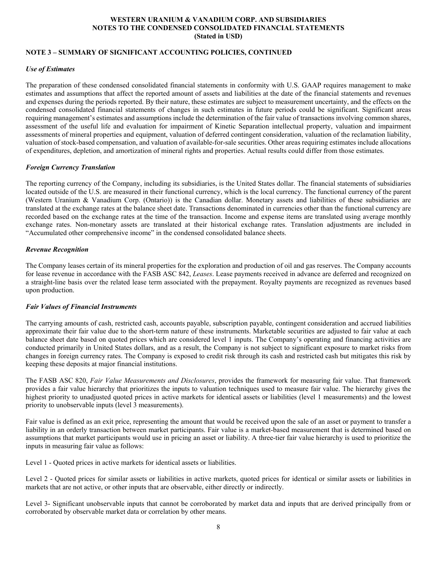# **NOTE 3 – SUMMARY OF SIGNIFICANT ACCOUNTING POLICIES, CONTINUED**

## *Use of Estimates*

The preparation of these condensed consolidated financial statements in conformity with U.S. GAAP requires management to make estimates and assumptions that affect the reported amount of assets and liabilities at the date of the financial statements and revenues and expenses during the periods reported. By their nature, these estimates are subject to measurement uncertainty, and the effects on the condensed consolidated financial statements of changes in such estimates in future periods could be significant. Significant areas requiring management's estimates and assumptions include the determination of the fair value of transactions involving common shares, assessment of the useful life and evaluation for impairment of Kinetic Separation intellectual property, valuation and impairment assessments of mineral properties and equipment, valuation of deferred contingent consideration, valuation of the reclamation liability, valuation of stock-based compensation, and valuation of available-for-sale securities. Other areas requiring estimates include allocations of expenditures, depletion, and amortization of mineral rights and properties. Actual results could differ from those estimates.

#### *Foreign Currency Translation*

The reporting currency of the Company, including its subsidiaries, is the United States dollar. The financial statements of subsidiaries located outside of the U.S. are measured in their functional currency, which is the local currency. The functional currency of the parent (Western Uranium & Vanadium Corp. (Ontario)) is the Canadian dollar. Monetary assets and liabilities of these subsidiaries are translated at the exchange rates at the balance sheet date. Transactions denominated in currencies other than the functional currency are recorded based on the exchange rates at the time of the transaction. Income and expense items are translated using average monthly exchange rates. Non-monetary assets are translated at their historical exchange rates. Translation adjustments are included in "Accumulated other comprehensive income" in the condensed consolidated balance sheets.

#### *Revenue Recognition*

The Company leases certain of its mineral properties for the exploration and production of oil and gas reserves. The Company accounts for lease revenue in accordance with the FASB ASC 842, *Leases*. Lease payments received in advance are deferred and recognized on a straight-line basis over the related lease term associated with the prepayment. Royalty payments are recognized as revenues based upon production.

#### *Fair Values of Financial Instruments*

The carrying amounts of cash, restricted cash, accounts payable, subscription payable, contingent consideration and accrued liabilities approximate their fair value due to the short-term nature of these instruments. Marketable securities are adjusted to fair value at each balance sheet date based on quoted prices which are considered level 1 inputs. The Company's operating and financing activities are conducted primarily in United States dollars, and as a result, the Company is not subject to significant exposure to market risks from changes in foreign currency rates. The Company is exposed to credit risk through its cash and restricted cash but mitigates this risk by keeping these deposits at major financial institutions.

The FASB ASC 820, *Fair Value Measurements and Disclosures*, provides the framework for measuring fair value. That framework provides a fair value hierarchy that prioritizes the inputs to valuation techniques used to measure fair value. The hierarchy gives the highest priority to unadjusted quoted prices in active markets for identical assets or liabilities (level 1 measurements) and the lowest priority to unobservable inputs (level 3 measurements).

Fair value is defined as an exit price, representing the amount that would be received upon the sale of an asset or payment to transfer a liability in an orderly transaction between market participants. Fair value is a market-based measurement that is determined based on assumptions that market participants would use in pricing an asset or liability. A three-tier fair value hierarchy is used to prioritize the inputs in measuring fair value as follows:

Level 1 - Quoted prices in active markets for identical assets or liabilities.

Level 2 - Quoted prices for similar assets or liabilities in active markets, quoted prices for identical or similar assets or liabilities in markets that are not active, or other inputs that are observable, either directly or indirectly.

Level 3- Significant unobservable inputs that cannot be corroborated by market data and inputs that are derived principally from or corroborated by observable market data or correlation by other means.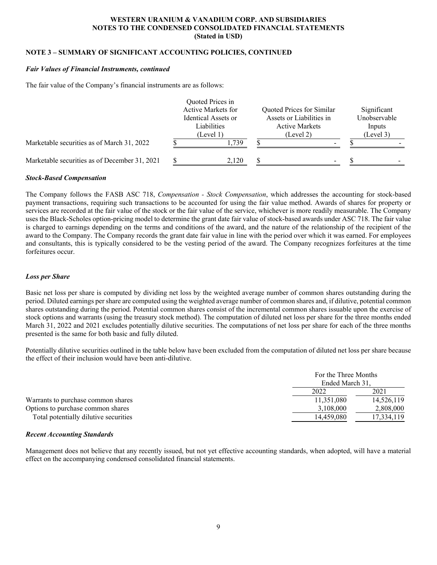# **NOTE 3 – SUMMARY OF SIGNIFICANT ACCOUNTING POLICIES, CONTINUED**

#### *Fair Values of Financial Instruments, continued*

The fair value of the Company's financial instruments are as follows:

|                                               |                                                 | Quoted Prices in<br>Active Markets for |                                                                | Quoted Prices for Similar |                                     | Significant |
|-----------------------------------------------|-------------------------------------------------|----------------------------------------|----------------------------------------------------------------|---------------------------|-------------------------------------|-------------|
|                                               | Identical Assets or<br>Liabilities<br>(Level 1) |                                        | Assets or Liabilities in<br><b>Active Markets</b><br>(Level 2) |                           | Unobservable<br>Inputs<br>(Level 3) |             |
| Marketable securities as of March 31, 2022    |                                                 | . 739                                  |                                                                |                           |                                     |             |
| Marketable securities as of December 31, 2021 |                                                 | 2.120                                  |                                                                |                           |                                     |             |

#### *Stock-Based Compensation*

The Company follows the FASB ASC 718, *Compensation - Stock Compensation*, which addresses the accounting for stock-based payment transactions, requiring such transactions to be accounted for using the fair value method. Awards of shares for property or services are recorded at the fair value of the stock or the fair value of the service, whichever is more readily measurable. The Company uses the Black-Scholes option-pricing model to determine the grant date fair value of stock-based awards under ASC 718. The fair value is charged to earnings depending on the terms and conditions of the award, and the nature of the relationship of the recipient of the award to the Company. The Company records the grant date fair value in line with the period over which it was earned. For employees and consultants, this is typically considered to be the vesting period of the award. The Company recognizes forfeitures at the time forfeitures occur.

#### *Loss per Share*

Basic net loss per share is computed by dividing net loss by the weighted average number of common shares outstanding during the period. Diluted earnings per share are computed using the weighted average number of common shares and, if dilutive, potential common shares outstanding during the period. Potential common shares consist of the incremental common shares issuable upon the exercise of stock options and warrants (using the treasury stock method). The computation of diluted net loss per share for the three months ended March 31, 2022 and 2021 excludes potentially dilutive securities. The computations of net loss per share for each of the three months presented is the same for both basic and fully diluted.

Potentially dilutive securities outlined in the table below have been excluded from the computation of diluted net loss per share because the effect of their inclusion would have been anti-dilutive.

|                                       | For the Three Months<br>Ended March 31. |            |
|---------------------------------------|-----------------------------------------|------------|
|                                       | 2022                                    | 2021       |
| Warrants to purchase common shares    | 11.351.080                              | 14,526,119 |
| Options to purchase common shares     | 3,108,000                               | 2,808,000  |
| Total potentially dilutive securities | 14.459.080                              | 17.334.119 |

#### *Recent Accounting Standards*

Management does not believe that any recently issued, but not yet effective accounting standards, when adopted, will have a material effect on the accompanying condensed consolidated financial statements.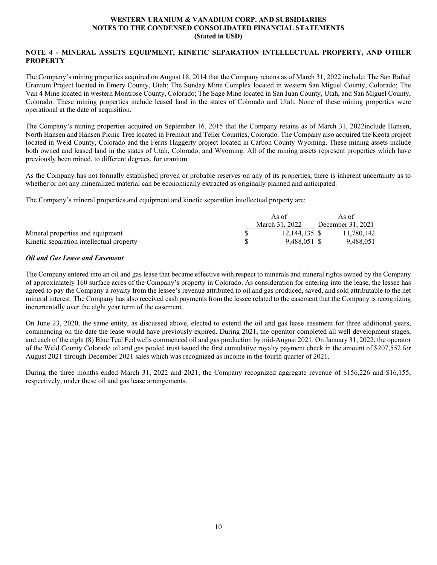# **NOTE 4 - MINERAL ASSETS EQUIPMENT, KINETIC SEPARATION INTELLECTUAL PROPERTY, AND OTHER PROPERTY**

The Company's mining properties acquired on August 18, 2014 that the Company retains as of March 31, 2022 include: The San Rafael Uranium Project located in Emery County, Utah; The Sunday Mine Complex located in western San Miguel County, Colorado; The Van 4 Mine located in western Montrose County, Colorado; The Sage Mine located in San Juan County, Utah, and San Miguel County, Colorado. These mining properties include leased land in the states of Colorado and Utah. None of these mining properties were operational at the date of acquisition.

The Company's mining properties acquired on September 16, 2015 that the Company retains as of March 31, 2022include Hansen, North Hansen and Hansen Picnic Tree located in Fremont and Teller Counties, Colorado. The Company also acquired the Keota project located in Weld County, Colorado and the Ferris Haggerty project located in Carbon County Wyoming. These mining assets include both owned and leased land in the states of Utah, Colorado, and Wyoming. All of the mining assets represent properties which have previously been mined, to different degrees, for uranium.

As the Company has not formally established proven or probable reserves on any of its properties, there is inherent uncertainty as to whether or not any mineralized material can be economically extracted as originally planned and anticipated.

The Company's mineral properties and equipment and kinetic separation intellectual property are:

|                                          | As of          |               |  | As of             |  |
|------------------------------------------|----------------|---------------|--|-------------------|--|
|                                          | March 31, 2022 |               |  | December 31, 2021 |  |
| Mineral properties and equipment         |                | 12,144,135 \$ |  | 11.780.142        |  |
| Kinetic separation intellectual property |                | 9.488.051 \$  |  | 9.488.051         |  |

# *Oil and Gas Lease and Easement*

The Company entered into an oil and gas lease that became effective with respect to minerals and mineral rights owned by the Company of approximately 160 surface acres of the Company's property in Colorado. As consideration for entering into the lease, the lessee has agreed to pay the Company a royalty from the lessee's revenue attributed to oil and gas produced, saved, and sold attributable to the net mineral interest. The Company has also received cash payments from the lessee related to the easement that the Company is recognizing incrementally over the eight year term of the easement.

On June 23, 2020, the same entity, as discussed above, elected to extend the oil and gas lease easement for three additional years, commencing on the date the lease would have previously expired. During 2021, the operator completed all well development stages, and each of the eight (8) Blue Teal Fed wells commenced oil and gas production by mid-August 2021. On January 31, 2022, the operator of the Weld County Colorado oil and gas pooled trust issued the first cumulative royalty payment check in the amount of \$207,552 for August 2021 through December 2021 sales which was recognized as income in the fourth quarter of 2021.

During the three months ended March 31, 2022 and 2021, the Company recognized aggregate revenue of \$156,226 and \$16,155, respectively, under these oil and gas lease arrangements.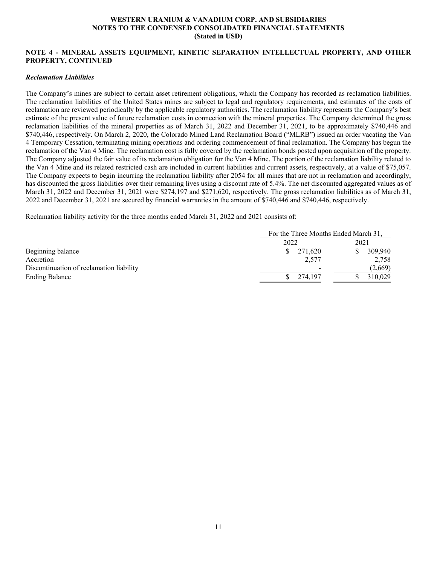# **NOTE 4 - MINERAL ASSETS EQUIPMENT, KINETIC SEPARATION INTELLECTUAL PROPERTY, AND OTHER PROPERTY, CONTINUED**

#### *Reclamation Liabilities*

The Company's mines are subject to certain asset retirement obligations, which the Company has recorded as reclamation liabilities. The reclamation liabilities of the United States mines are subject to legal and regulatory requirements, and estimates of the costs of reclamation are reviewed periodically by the applicable regulatory authorities. The reclamation liability represents the Company's best estimate of the present value of future reclamation costs in connection with the mineral properties. The Company determined the gross reclamation liabilities of the mineral properties as of March 31, 2022 and December 31, 2021, to be approximately \$740,446 and \$740,446, respectively. On March 2, 2020, the Colorado Mined Land Reclamation Board ("MLRB") issued an order vacating the Van 4 Temporary Cessation, terminating mining operations and ordering commencement of final reclamation. The Company has begun the reclamation of the Van 4 Mine. The reclamation cost is fully covered by the reclamation bonds posted upon acquisition of the property. The Company adjusted the fair value of its reclamation obligation for the Van 4 Mine. The portion of the reclamation liability related to the Van 4 Mine and its related restricted cash are included in current liabilities and current assets, respectively, at a value of \$75,057. The Company expects to begin incurring the reclamation liability after 2054 for all mines that are not in reclamation and accordingly, has discounted the gross liabilities over their remaining lives using a discount rate of 5.4%. The net discounted aggregated values as of March 31, 2022 and December 31, 2021 were \$274,197 and \$271,620, respectively. The gross reclamation liabilities as of March 31, 2022 and December 31, 2021 are secured by financial warranties in the amount of \$740,446 and \$740,446, respectively.

Reclamation liability activity for the three months ended March 31, 2022 and 2021 consists of:

|                                          | For the Three Months Ended March 31. |         |  |  |
|------------------------------------------|--------------------------------------|---------|--|--|
|                                          | 2022                                 | 2021    |  |  |
| Beginning balance                        | 271,620                              | 309,940 |  |  |
| Accretion                                | 2,577                                | 2,758   |  |  |
| Discontinuation of reclamation liability |                                      | (2,669) |  |  |
| <b>Ending Balance</b>                    | 274,197                              | 310.029 |  |  |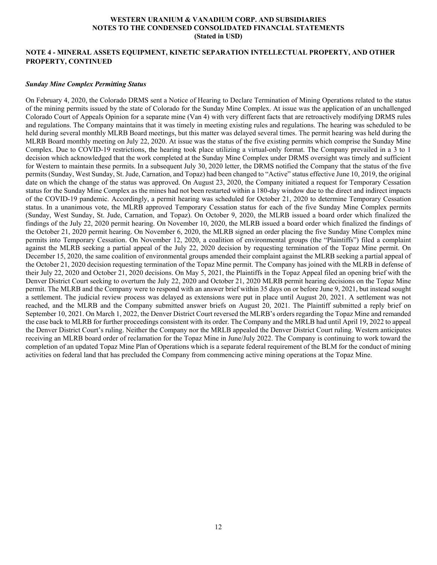## **NOTE 4 - MINERAL ASSETS EQUIPMENT, KINETIC SEPARATION INTELLECTUAL PROPERTY, AND OTHER PROPERTY, CONTINUED**

#### *Sunday Mine Complex Permitting Status*

On February 4, 2020, the Colorado DRMS sent a Notice of Hearing to Declare Termination of Mining Operations related to the status of the mining permits issued by the state of Colorado for the Sunday Mine Complex. At issue was the application of an unchallenged Colorado Court of Appeals Opinion for a separate mine (Van 4) with very different facts that are retroactively modifying DRMS rules and regulations. The Company maintains that it was timely in meeting existing rules and regulations. The hearing was scheduled to be held during several monthly MLRB Board meetings, but this matter was delayed several times. The permit hearing was held during the MLRB Board monthly meeting on July 22, 2020. At issue was the status of the five existing permits which comprise the Sunday Mine Complex. Due to COVID-19 restrictions, the hearing took place utilizing a virtual-only format. The Company prevailed in a 3 to 1 decision which acknowledged that the work completed at the Sunday Mine Complex under DRMS oversight was timely and sufficient for Western to maintain these permits. In a subsequent July 30, 2020 letter, the DRMS notified the Company that the status of the five permits (Sunday, West Sunday, St. Jude, Carnation, and Topaz) had been changed to "Active" status effective June 10, 2019, the original date on which the change of the status was approved. On August 23, 2020, the Company initiated a request for Temporary Cessation status for the Sunday Mine Complex as the mines had not been restarted within a 180-day window due to the direct and indirect impacts of the COVID-19 pandemic. Accordingly, a permit hearing was scheduled for October 21, 2020 to determine Temporary Cessation status. In a unanimous vote, the MLRB approved Temporary Cessation status for each of the five Sunday Mine Complex permits (Sunday, West Sunday, St. Jude, Carnation, and Topaz). On October 9, 2020, the MLRB issued a board order which finalized the findings of the July 22, 2020 permit hearing. On November 10, 2020, the MLRB issued a board order which finalized the findings of the October 21, 2020 permit hearing. On November 6, 2020, the MLRB signed an order placing the five Sunday Mine Complex mine permits into Temporary Cessation. On November 12, 2020, a coalition of environmental groups (the "Plaintiffs") filed a complaint against the MLRB seeking a partial appeal of the July 22, 2020 decision by requesting termination of the Topaz Mine permit. On December 15, 2020, the same coalition of environmental groups amended their complaint against the MLRB seeking a partial appeal of the October 21, 2020 decision requesting termination of the Topaz Mine permit. The Company has joined with the MLRB in defense of their July 22, 2020 and October 21, 2020 decisions. On May 5, 2021, the Plaintiffs in the Topaz Appeal filed an opening brief with the Denver District Court seeking to overturn the July 22, 2020 and October 21, 2020 MLRB permit hearing decisions on the Topaz Mine permit. The MLRB and the Company were to respond with an answer brief within 35 days on or before June 9, 2021, but instead sought a settlement. The judicial review process was delayed as extensions were put in place until August 20, 2021. A settlement was not reached, and the MLRB and the Company submitted answer briefs on August 20, 2021. The Plaintiff submitted a reply brief on September 10, 2021. On March 1, 2022, the Denver District Court reversed the MLRB's orders regarding the Topaz Mine and remanded the case back to MLRB for further proceedings consistent with its order. The Company and the MRLB had until April 19, 2022 to appeal the Denver District Court's ruling. Neither the Company nor the MRLB appealed the Denver District Court ruling. Western anticipates receiving an MLRB board order of reclamation for the Topaz Mine in June/July 2022. The Company is continuing to work toward the completion of an updated Topaz Mine Plan of Operations which is a separate federal requirement of the BLM for the conduct of mining activities on federal land that has precluded the Company from commencing active mining operations at the Topaz Mine.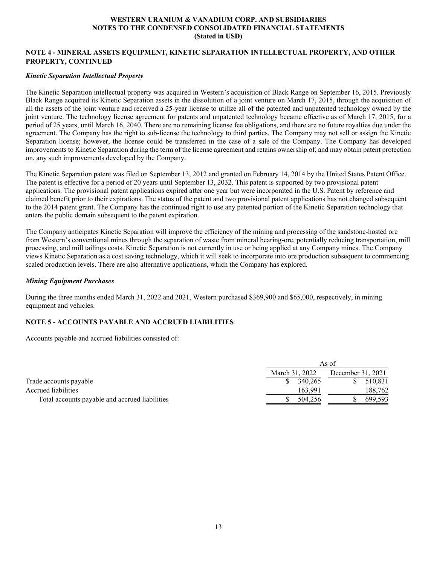# **NOTE 4 - MINERAL ASSETS EQUIPMENT, KINETIC SEPARATION INTELLECTUAL PROPERTY, AND OTHER PROPERTY, CONTINUED**

#### *Kinetic Separation Intellectual Property*

The Kinetic Separation intellectual property was acquired in Western's acquisition of Black Range on September 16, 2015. Previously Black Range acquired its Kinetic Separation assets in the dissolution of a joint venture on March 17, 2015, through the acquisition of all the assets of the joint venture and received a 25-year license to utilize all of the patented and unpatented technology owned by the joint venture. The technology license agreement for patents and unpatented technology became effective as of March 17, 2015, for a period of 25 years, until March 16, 2040. There are no remaining license fee obligations, and there are no future royalties due under the agreement. The Company has the right to sub-license the technology to third parties. The Company may not sell or assign the Kinetic Separation license; however, the license could be transferred in the case of a sale of the Company. The Company has developed improvements to Kinetic Separation during the term of the license agreement and retains ownership of, and may obtain patent protection on, any such improvements developed by the Company.

The Kinetic Separation patent was filed on September 13, 2012 and granted on February 14, 2014 by the United States Patent Office. The patent is effective for a period of 20 years until September 13, 2032. This patent is supported by two provisional patent applications. The provisional patent applications expired after one year but were incorporated in the U.S. Patent by reference and claimed benefit prior to their expirations. The status of the patent and two provisional patent applications has not changed subsequent to the 2014 patent grant. The Company has the continued right to use any patented portion of the Kinetic Separation technology that enters the public domain subsequent to the patent expiration.

The Company anticipates Kinetic Separation will improve the efficiency of the mining and processing of the sandstone-hosted ore from Western's conventional mines through the separation of waste from mineral bearing-ore, potentially reducing transportation, mill processing, and mill tailings costs. Kinetic Separation is not currently in use or being applied at any Company mines. The Company views Kinetic Separation as a cost saving technology, which it will seek to incorporate into ore production subsequent to commencing scaled production levels. There are also alternative applications, which the Company has explored.

#### *Mining Equipment Purchases*

During the three months ended March 31, 2022 and 2021, Western purchased \$369,900 and \$65,000, respectively, in mining equipment and vehicles.

# **NOTE 5 - ACCOUNTS PAYABLE AND ACCRUED LIABILITIES**

Accounts payable and accrued liabilities consisted of:

|                                                | As of          |                   |  |  |  |  |
|------------------------------------------------|----------------|-------------------|--|--|--|--|
|                                                | March 31, 2022 | December 31, 2021 |  |  |  |  |
| Trade accounts payable                         | 340,265        | 510.831           |  |  |  |  |
| Accrued liabilities                            | 163.991        | 188,762           |  |  |  |  |
| Total accounts payable and accrued liabilities | 504,256        | 699.593           |  |  |  |  |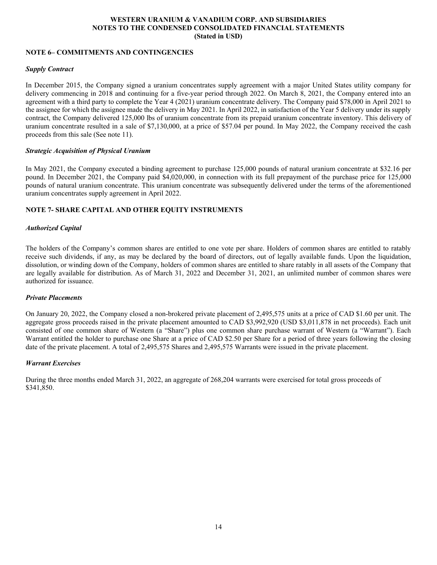# **NOTE 6– COMMITMENTS AND CONTINGENCIES**

# *Supply Contract*

In December 2015, the Company signed a uranium concentrates supply agreement with a major United States utility company for delivery commencing in 2018 and continuing for a five-year period through 2022. On March 8, 2021, the Company entered into an agreement with a third party to complete the Year 4 (2021) uranium concentrate delivery. The Company paid \$78,000 in April 2021 to the assignee for which the assignee made the delivery in May 2021. In April 2022, in satisfaction of the Year 5 delivery under its supply contract, the Company delivered 125,000 lbs of uranium concentrate from its prepaid uranium concentrate inventory. This delivery of uranium concentrate resulted in a sale of \$7,130,000, at a price of \$57.04 per pound. In May 2022, the Company received the cash proceeds from this sale (See note 11).

#### *Strategic Acquisition of Physical Uranium*

In May 2021, the Company executed a binding agreement to purchase 125,000 pounds of natural uranium concentrate at \$32.16 per pound. In December 2021, the Company paid \$4,020,000, in connection with its full prepayment of the purchase price for 125,000 pounds of natural uranium concentrate. This uranium concentrate was subsequently delivered under the terms of the aforementioned uranium concentrates supply agreement in April 2022.

# **NOTE 7- SHARE CAPITAL AND OTHER EQUITY INSTRUMENTS**

#### *Authorized Capital*

The holders of the Company's common shares are entitled to one vote per share. Holders of common shares are entitled to ratably receive such dividends, if any, as may be declared by the board of directors, out of legally available funds. Upon the liquidation, dissolution, or winding down of the Company, holders of common shares are entitled to share ratably in all assets of the Company that are legally available for distribution. As of March 31, 2022 and December 31, 2021, an unlimited number of common shares were authorized for issuance.

#### *Private Placements*

On January 20, 2022, the Company closed a non-brokered private placement of 2,495,575 units at a price of CAD \$1.60 per unit. The aggregate gross proceeds raised in the private placement amounted to CAD \$3,992,920 (USD \$3,011,878 in net proceeds). Each unit consisted of one common share of Western (a "Share") plus one common share purchase warrant of Western (a "Warrant"). Each Warrant entitled the holder to purchase one Share at a price of CAD \$2.50 per Share for a period of three years following the closing date of the private placement. A total of 2,495,575 Shares and 2,495,575 Warrants were issued in the private placement.

#### *Warrant Exercises*

During the three months ended March 31, 2022, an aggregate of 268,204 warrants were exercised for total gross proceeds of \$341,850.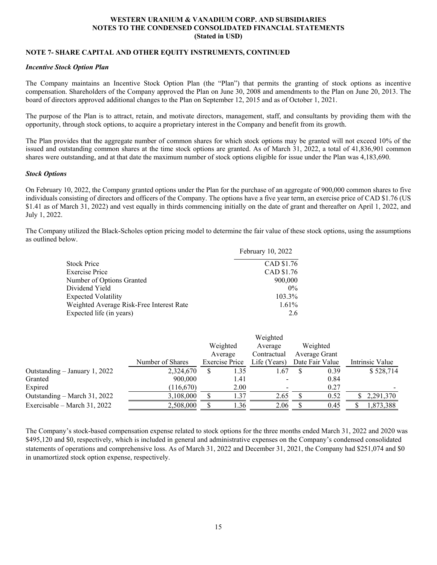# **NOTE 7- SHARE CAPITAL AND OTHER EQUITY INSTRUMENTS, CONTINUED**

#### *Incentive Stock Option Plan*

The Company maintains an Incentive Stock Option Plan (the "Plan") that permits the granting of stock options as incentive compensation. Shareholders of the Company approved the Plan on June 30, 2008 and amendments to the Plan on June 20, 2013. The board of directors approved additional changes to the Plan on September 12, 2015 and as of October 1, 2021.

The purpose of the Plan is to attract, retain, and motivate directors, management, staff, and consultants by providing them with the opportunity, through stock options, to acquire a proprietary interest in the Company and benefit from its growth.

The Plan provides that the aggregate number of common shares for which stock options may be granted will not exceed 10% of the issued and outstanding common shares at the time stock options are granted. As of March 31, 2022, a total of 41,836,901 common shares were outstanding, and at that date the maximum number of stock options eligible for issue under the Plan was 4,183,690.

#### *Stock Options*

On February 10, 2022, the Company granted options under the Plan for the purchase of an aggregate of 900,000 common shares to five individuals consisting of directors and officers of the Company. The options have a five year term, an exercise price of CAD \$1.76 (US \$1.41 as of March 31, 2022) and vest equally in thirds commencing initially on the date of grant and thereafter on April 1, 2022, and July 1, 2022.

The Company utilized the Black-Scholes option pricing model to determine the fair value of these stock options, using the assumptions as outlined below.

|                                          | February 10, 2022 |
|------------------------------------------|-------------------|
| <b>Stock Price</b>                       | CAD \$1.76        |
| <b>Exercise Price</b>                    | CAD \$1.76        |
| Number of Options Granted                | 900,000           |
| Dividend Yield                           | $0\%$             |
| <b>Expected Volatility</b>               | 103.3%            |
| Weighted Average Risk-Free Interest Rate | $1.61\%$          |
| Expected life (in years)                 | 2.6               |

|                                 |                  |          |                       | Weighted     |               |                 |     |                 |
|---------------------------------|------------------|----------|-----------------------|--------------|---------------|-----------------|-----|-----------------|
|                                 |                  | Weighted |                       | Average      | Weighted      |                 |     |                 |
|                                 |                  |          | Average               | Contractual  | Average Grant |                 |     |                 |
|                                 | Number of Shares |          | <b>Exercise Price</b> | Life (Years) |               | Date Fair Value |     | Intrinsic Value |
| Outstanding $-$ January 1, 2022 | 2,324,670        | S        | 1.35                  | 1.67         |               | 0.39            |     | \$528,714       |
| Granted                         | 900,000          |          | 1.41                  |              |               | 0.84            |     |                 |
| Expired                         | (116,670)        |          | 2.00                  |              |               | 0.27            |     |                 |
| Outstanding – March 31, 2022    | 3,108,000        |          | 1.37                  | 2.65         |               | 0.52            |     | 2,291,370       |
| Exercisable – March 31, 2022    | 2,508,000        |          | 1.36                  | 2.06         |               | 0.45            | Jэ. | 1,873,388       |

The Company's stock-based compensation expense related to stock options for the three months ended March 31, 2022 and 2020 was \$495,120 and \$0, respectively, which is included in general and administrative expenses on the Company's condensed consolidated statements of operations and comprehensive loss. As of March 31, 2022 and December 31, 2021, the Company had \$251,074 and \$0 in unamortized stock option expense, respectively.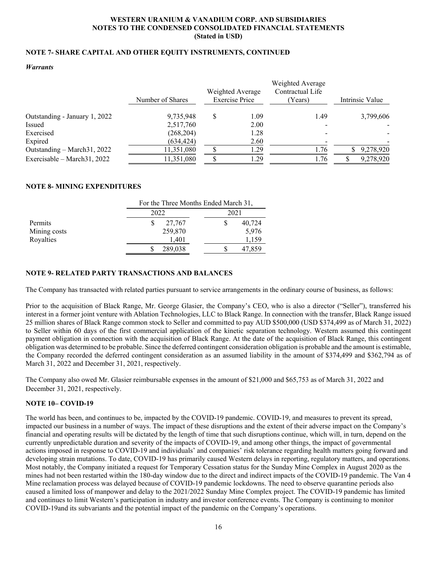# **NOTE 7- SHARE CAPITAL AND OTHER EQUITY INSTRUMENTS, CONTINUED**

#### *Warrants*

|                               |                  |                                           |      | Weighted Average            |                 |
|-------------------------------|------------------|-------------------------------------------|------|-----------------------------|-----------------|
|                               | Number of Shares | Weighted Average<br><b>Exercise Price</b> |      | Contractual Life<br>(Years) | Intrinsic Value |
| Outstanding - January 1, 2022 | 9,735,948        | S                                         | 1.09 | 1.49                        | 3,799,606       |
| Issued                        | 2,517,760        |                                           | 2.00 |                             |                 |
| Exercised                     | (268, 204)       |                                           | 1.28 |                             |                 |
| Expired                       | (634, 424)       |                                           | 2.60 |                             |                 |
| Outstanding – March 31, 2022  | 11,351,080       |                                           | .29  | 1.76                        | 9,278,920       |
| Exercisable - March 31, 2022  | 11,351,080       |                                           | .29  | 1.76                        | 9,278,920       |

# **NOTE 8- MINING EXPENDITURES**

|              | For the Three Months Ended March 31, |        |
|--------------|--------------------------------------|--------|
|              | 2022                                 | 2021   |
| Permits      | 27,767                               | 40,724 |
| Mining costs | 259,870                              | 5,976  |
| Royalties    | 1.401                                | 1,159  |
|              | 289,038                              | 47,859 |

# **NOTE 9- RELATED PARTY TRANSACTIONS AND BALANCES**

The Company has transacted with related parties pursuant to service arrangements in the ordinary course of business, as follows:

Prior to the acquisition of Black Range, Mr. George Glasier, the Company's CEO, who is also a director ("Seller"), transferred his interest in a former joint venture with Ablation Technologies, LLC to Black Range. In connection with the transfer, Black Range issued 25 million shares of Black Range common stock to Seller and committed to pay AUD \$500,000 (USD \$374,499 as of March 31, 2022) to Seller within 60 days of the first commercial application of the kinetic separation technology. Western assumed this contingent payment obligation in connection with the acquisition of Black Range. At the date of the acquisition of Black Range, this contingent obligation was determined to be probable. Since the deferred contingent consideration obligation is probable and the amount is estimable, the Company recorded the deferred contingent consideration as an assumed liability in the amount of \$374,499 and \$362,794 as of March 31, 2022 and December 31, 2021, respectively.

The Company also owed Mr. Glasier reimbursable expenses in the amount of \$21,000 and \$65,753 as of March 31, 2022 and December 31, 2021, respectively.

# **NOTE 10– COVID-19**

The world has been, and continues to be, impacted by the COVID-19 pandemic. COVID-19, and measures to prevent its spread, impacted our business in a number of ways. The impact of these disruptions and the extent of their adverse impact on the Company's financial and operating results will be dictated by the length of time that such disruptions continue, which will, in turn, depend on the currently unpredictable duration and severity of the impacts of COVID-19, and among other things, the impact of governmental actions imposed in response to COVID-19 and individuals' and companies' risk tolerance regarding health matters going forward and developing strain mutations. To date, COVID-19 has primarily caused Western delays in reporting, regulatory matters, and operations. Most notably, the Company initiated a request for Temporary Cessation status for the Sunday Mine Complex in August 2020 as the mines had not been restarted within the 180-day window due to the direct and indirect impacts of the COVID-19 pandemic. The Van 4 Mine reclamation process was delayed because of COVID-19 pandemic lockdowns. The need to observe quarantine periods also caused a limited loss of manpower and delay to the 2021/2022 Sunday Mine Complex project. The COVID-19 pandemic has limited and continues to limit Western's participation in industry and investor conference events. The Company is continuing to monitor COVID-19and its subvariants and the potential impact of the pandemic on the Company's operations.